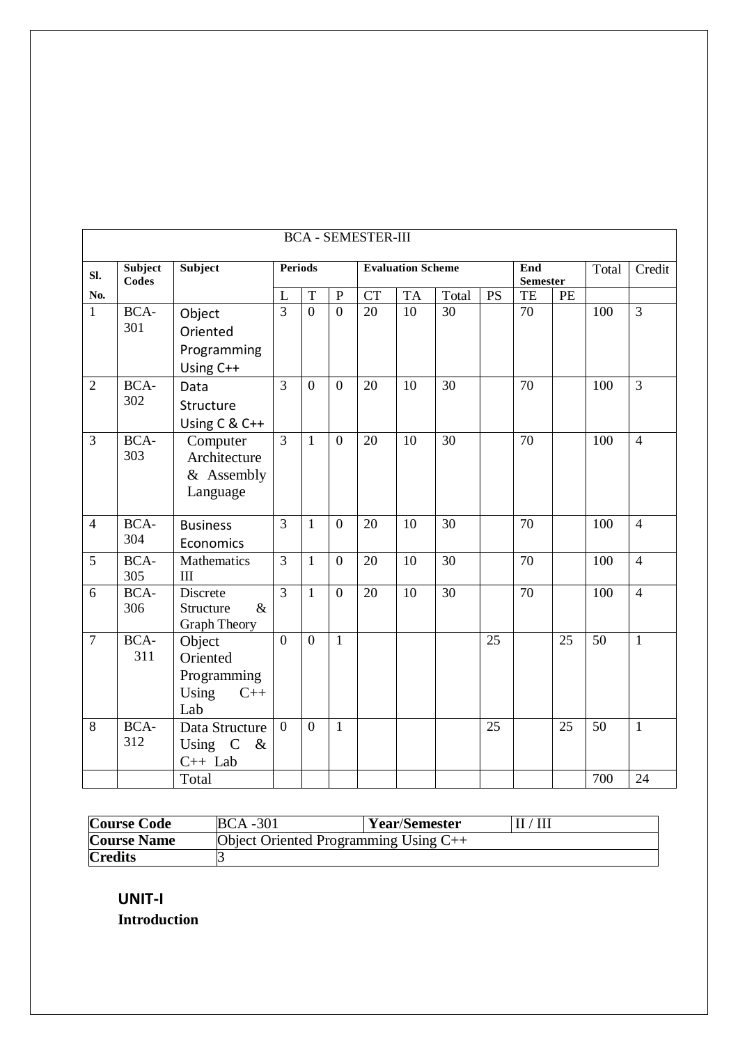|                  | <b>BCA - SEMESTER-III</b> |                                                            |                |                  |                  |                          |           |       |                        |    |       |        |                |
|------------------|---------------------------|------------------------------------------------------------|----------------|------------------|------------------|--------------------------|-----------|-------|------------------------|----|-------|--------|----------------|
| Sl.              | Subject<br><b>Codes</b>   | Subject                                                    | <b>Periods</b> |                  |                  | <b>Evaluation Scheme</b> |           |       | End<br><b>Semester</b> |    | Total | Credit |                |
| No.              |                           |                                                            | L              | T                | ${\bf P}$        | <b>CT</b>                | <b>TA</b> | Total | <b>PS</b>              | TE | PE    |        |                |
| $\mathbf{1}$     | BCA-<br>301               | Object<br>Oriented<br>Programming<br>Using C++             | $\overline{3}$ | $\overline{0}$   | $\boldsymbol{0}$ | 20                       | 10        | 30    |                        | 70 |       | 100    | $\overline{3}$ |
| $\overline{2}$   | BCA-<br>302               | Data<br>Structure<br>Using C & C++                         | 3              | $\boldsymbol{0}$ | $\boldsymbol{0}$ | 20                       | 10        | 30    |                        | 70 |       | 100    | $\overline{3}$ |
| 3                | BCA-<br>303               | Computer<br>Architecture<br>& Assembly<br>Language         | 3              | 1                | $\boldsymbol{0}$ | 20                       | 10        | 30    |                        | 70 |       | 100    | $\overline{4}$ |
| $\overline{4}$   | BCA-<br>304               | <b>Business</b><br>Economics                               | 3              | $\mathbf{1}$     | $\boldsymbol{0}$ | 20                       | 10        | 30    |                        | 70 |       | 100    | $\overline{4}$ |
| 5                | BCA-<br>305               | Mathematics<br>III                                         | 3              | $\mathbf{1}$     | $\boldsymbol{0}$ | 20                       | 10        | 30    |                        | 70 |       | 100    | $\overline{4}$ |
| 6                | BCA-<br>306               | Discrete<br>Structure<br>$\&$<br><b>Graph Theory</b>       | 3              | $\mathbf{1}$     | $\overline{0}$   | 20                       | 10        | 30    |                        | 70 |       | 100    | $\overline{4}$ |
| $\boldsymbol{7}$ | BCA-<br>311               | Object<br>Oriented<br>Programming<br>Using<br>$C++$<br>Lab | $\overline{0}$ | $\boldsymbol{0}$ | $\mathbf{1}$     |                          |           |       | 25                     |    | 25    | 50     | $\mathbf{1}$   |
| 8                | BCA-<br>312               | Data Structure<br>Using C<br>$\&$<br>$C++$ Lab             | $\mathbf{0}$   | $\boldsymbol{0}$ | 1                |                          |           |       | 25                     |    | 25    | 50     | $\mathbf{1}$   |
|                  |                           | Total                                                      |                |                  |                  |                          |           |       |                        |    |       | 700    | 24             |

| <b>Course Code</b>                                            | <b>BCA</b> -301 | <b>Year/Semester</b> | II/III |  |  |
|---------------------------------------------------------------|-----------------|----------------------|--------|--|--|
| <b>Course Name</b><br>Object Oriented Programming Using $C++$ |                 |                      |        |  |  |
| <b>Credits</b>                                                |                 |                      |        |  |  |

**UNIT-I Introduction**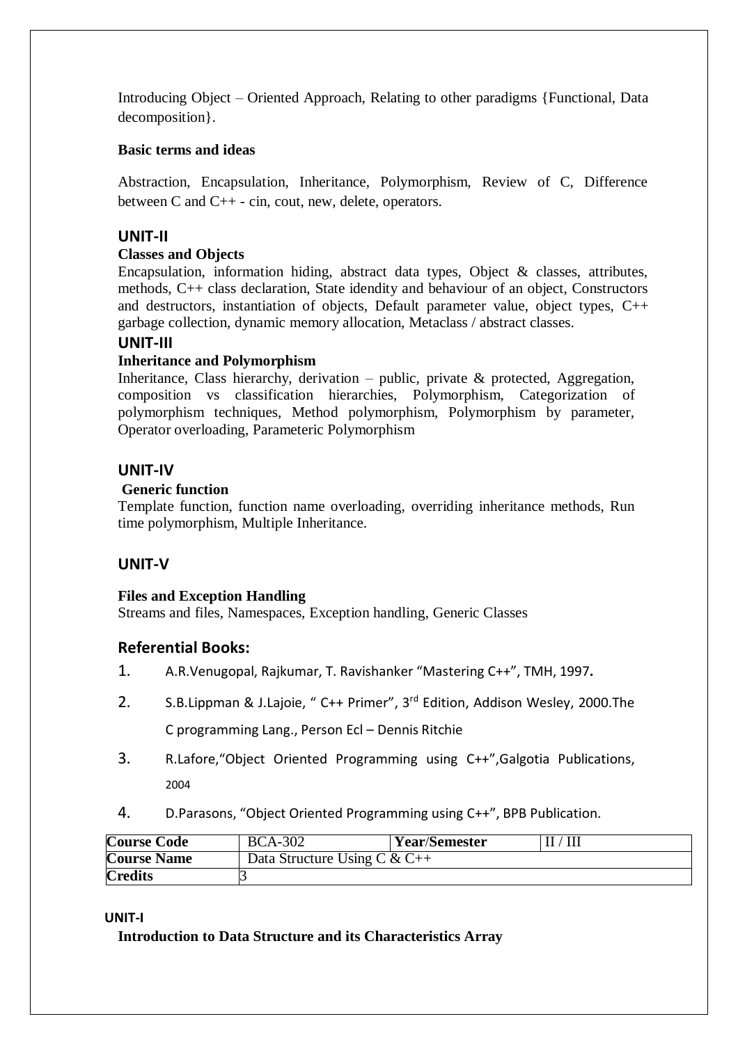Introducing Object – Oriented Approach, Relating to other paradigms {Functional, Data decomposition}.

## **Basic terms and ideas**

Abstraction, Encapsulation, Inheritance, Polymorphism, Review of C, Difference between C and C++ - cin, cout, new, delete, operators.

# **UNIT-II**

# **Classes and Objects**

Encapsulation, information hiding, abstract data types, Object  $\&$  classes, attributes, methods, C++ class declaration, State idendity and behaviour of an object, Constructors and destructors, instantiation of objects, Default parameter value, object types, C++ garbage collection, dynamic memory allocation, Metaclass / abstract classes.

# **UNIT-III**

## **Inheritance and Polymorphism**

Inheritance, Class hierarchy, derivation – public, private & protected, Aggregation, composition vs classification hierarchies, Polymorphism, Categorization of polymorphism techniques, Method polymorphism, Polymorphism by parameter, Operator overloading, Parameteric Polymorphism

# **UNIT-IV**

# **Generic function**

Template function, function name overloading, overriding inheritance methods, Run time polymorphism, Multiple Inheritance.

# **UNIT-V**

# **Files and Exception Handling**

Streams and files, Namespaces, Exception handling, Generic Classes

# **Referential Books:**

- 1. A.R.Venugopal, Rajkumar, T. Ravishanker "Mastering C++", TMH, 1997**.**
- 2. S.B.Lippman & J.Lajoie, " C++ Primer", 3<sup>rd</sup> Edition, Addison Wesley, 2000.The C programming Lang., Person Ecl – Dennis Ritchie
- 3. R.Lafore,"Object Oriented Programming using C++",Galgotia Publications, 2004
- 4. D.Parasons, "Object Oriented Programming using C++", BPB Publication.

| <b>Course Code</b> | <b>BCA-302</b>               | <b>Year/Semester</b> | $^{\prime}$ III |  |  |
|--------------------|------------------------------|----------------------|-----------------|--|--|
| <b>Course Name</b> | Data Structure Using C & C++ |                      |                 |  |  |
| <b>Credits</b>     |                              |                      |                 |  |  |

### **UNIT-I**

**Introduction to Data Structure and its Characteristics Array**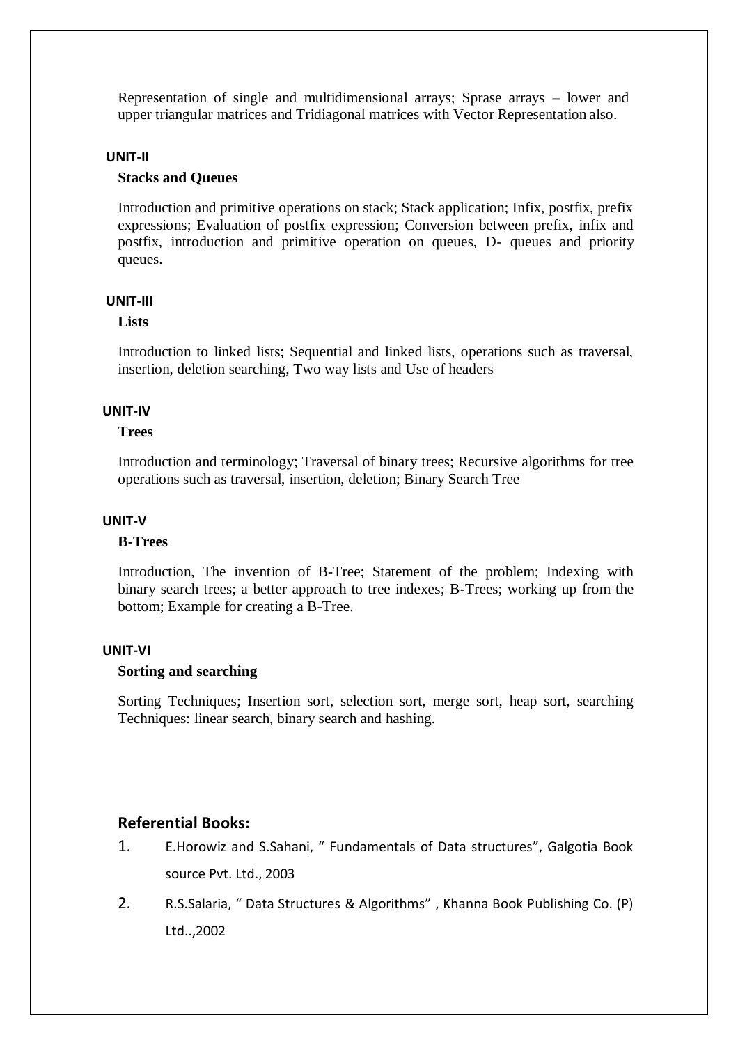Representation of single and multidimensional arrays; Sprase arrays – lower and upper triangular matrices and Tridiagonal matrices with Vector Representation also.

#### **UNIT-II**

#### **Stacks and Queues**

Introduction and primitive operations on stack; Stack application; Infix, postfix, prefix expressions; Evaluation of postfix expression; Conversion between prefix, infix and postfix, introduction and primitive operation on queues, D- queues and priority queues.

#### **UNIT-III**

#### **Lists**

Introduction to linked lists; Sequential and linked lists, operations such as traversal, insertion, deletion searching, Two way lists and Use of headers

#### **UNIT-IV**

#### **Trees**

Introduction and terminology; Traversal of binary trees; Recursive algorithms for tree operations such as traversal, insertion, deletion; Binary Search Tree

#### **UNIT-V**

#### **B-Trees**

Introduction, The invention of B-Tree; Statement of the problem; Indexing with binary search trees; a better approach to tree indexes; B-Trees; working up from the bottom; Example for creating a B-Tree.

#### **UNIT-VI**

#### **Sorting and searching**

Sorting Techniques; Insertion sort, selection sort, merge sort, heap sort, searching Techniques: linear search, binary search and hashing.

# **Referential Books:**

- 1. E.Horowiz and S.Sahani, " Fundamentals of Data structures", Galgotia Book source Pvt. Ltd., 2003
- 2. R.S.Salaria, " Data Structures & Algorithms" , Khanna Book Publishing Co. (P) Ltd..,2002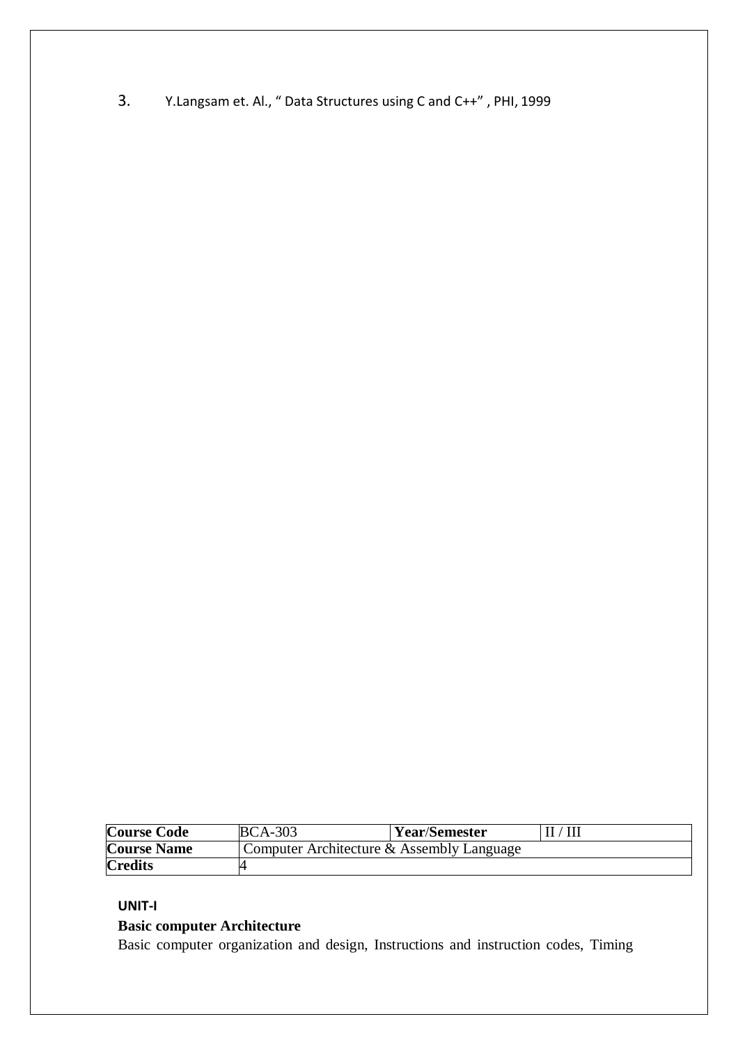3. Y.Langsam et. Al., " Data Structures using C and C++" , PHI, 1999

| <b>Course Code</b> | <b>BCA-303</b>                            | <b>Year/Semester</b> | $\rm II/III$ |  |  |
|--------------------|-------------------------------------------|----------------------|--------------|--|--|
| <b>Course Name</b> | Computer Architecture & Assembly Language |                      |              |  |  |
| <b>Credits</b>     |                                           |                      |              |  |  |

### **UNIT-I**

# **Basic computer Architecture**

Basic computer organization and design, Instructions and instruction codes, Timing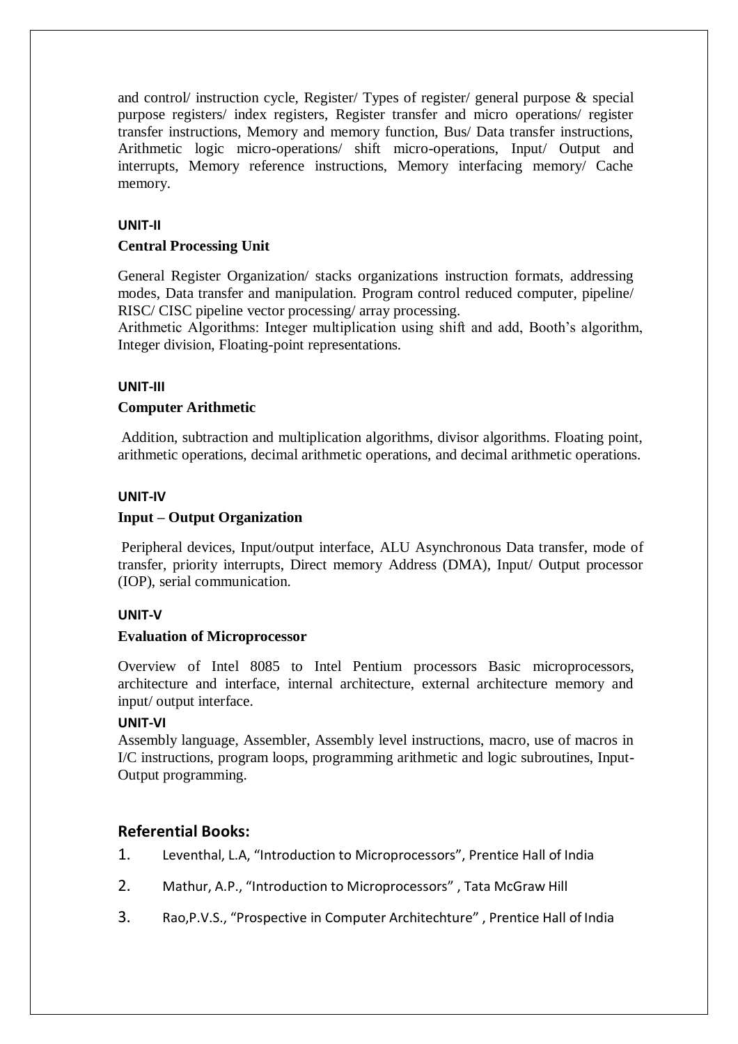and control/ instruction cycle, Register/ Types of register/ general purpose & special purpose registers/ index registers, Register transfer and micro operations/ register transfer instructions, Memory and memory function, Bus/ Data transfer instructions, Arithmetic logic micro-operations/ shift micro-operations, Input/ Output and interrupts, Memory reference instructions, Memory interfacing memory/ Cache memory.

## **UNIT-II**

## **Central Processing Unit**

General Register Organization/ stacks organizations instruction formats, addressing modes, Data transfer and manipulation. Program control reduced computer, pipeline/ RISC/ CISC pipeline vector processing/ array processing.

Arithmetic Algorithms: Integer multiplication using shift and add, Booth's algorithm, Integer division, Floating-point representations.

### **UNIT-III**

### **Computer Arithmetic**

Addition, subtraction and multiplication algorithms, divisor algorithms. Floating point, arithmetic operations, decimal arithmetic operations, and decimal arithmetic operations.

### **UNIT-IV**

## **Input – Output Organization**

Peripheral devices, Input/output interface, ALU Asynchronous Data transfer, mode of transfer, priority interrupts, Direct memory Address (DMA), Input/ Output processor (IOP), serial communication.

### **UNIT-V**

### **Evaluation of Microprocessor**

Overview of Intel 8085 to Intel Pentium processors Basic microprocessors, architecture and interface, internal architecture, external architecture memory and input/ output interface.

# **UNIT-VI**

Assembly language, Assembler, Assembly level instructions, macro, use of macros in I/C instructions, program loops, programming arithmetic and logic subroutines, Input-Output programming.

# **Referential Books:**

- 1. Leventhal, L.A, "Introduction to Microprocessors", Prentice Hall of India
- 2. Mathur, A.P., "Introduction to Microprocessors" , Tata McGraw Hill
- 3. Rao,P.V.S., "Prospective in Computer Architechture" , Prentice Hall of India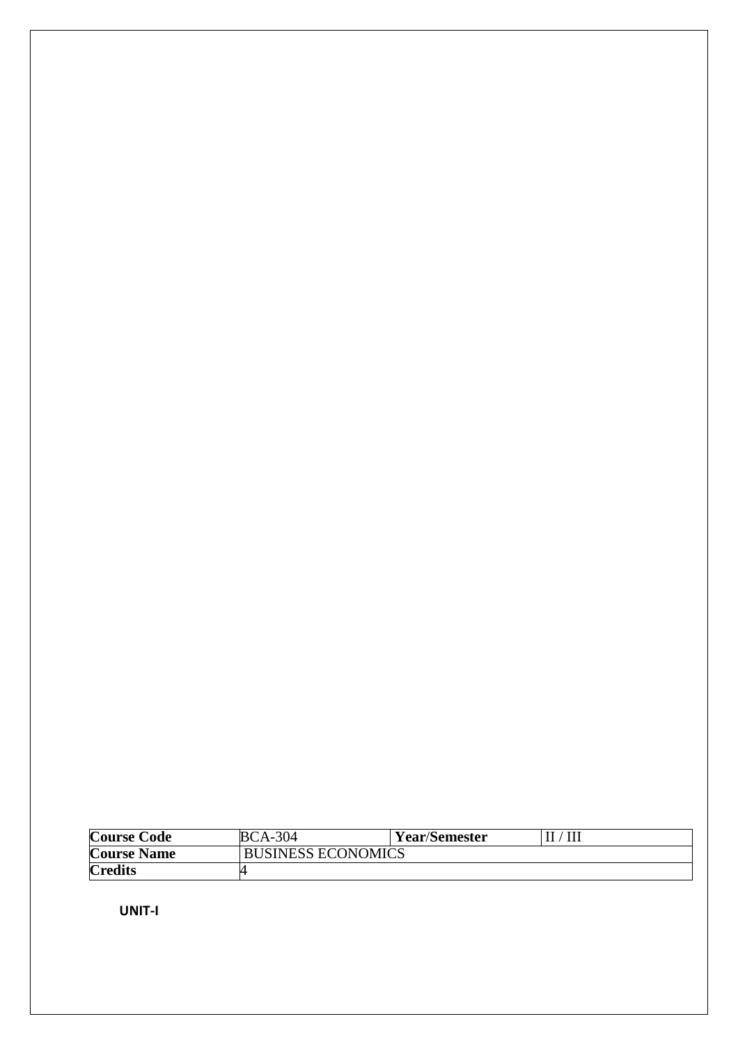| Course Code        | <b>BCA-304</b>            | <b>Year/Semester</b> | $\rm{III}$ |
|--------------------|---------------------------|----------------------|------------|
| <b>Course Name</b> | <b>BUSINESS ECONOMICS</b> |                      |            |
| <b>Credits</b>     |                           |                      |            |

 **UNIT-I**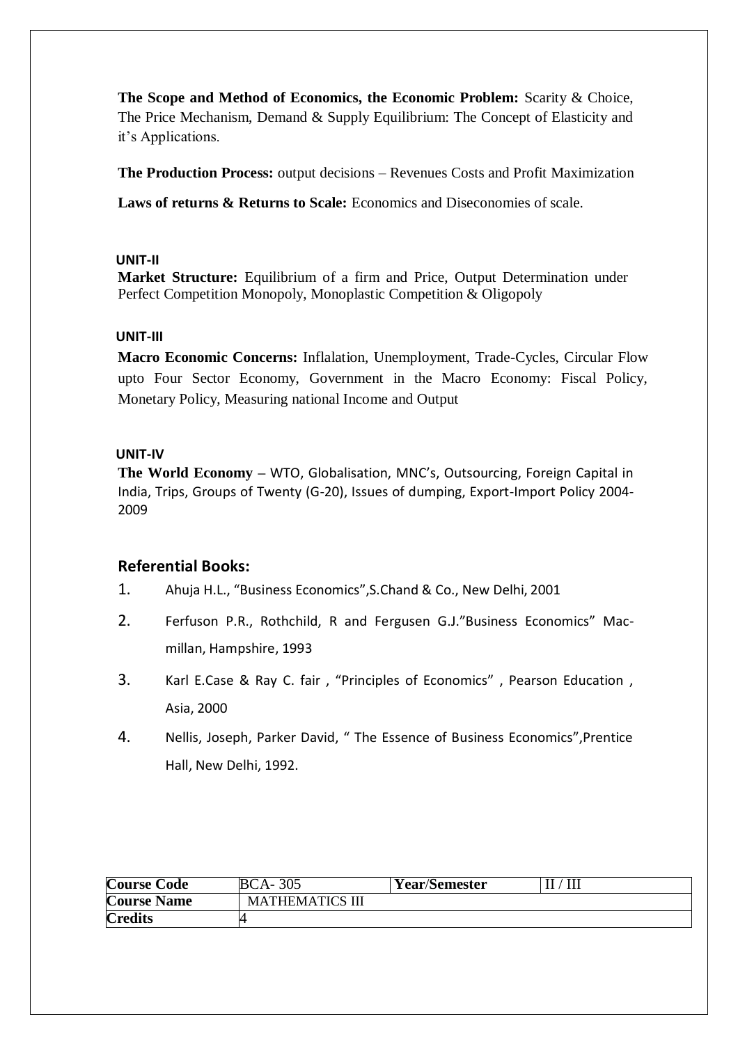**The Scope and Method of Economics, the Economic Problem:** Scarity & Choice, The Price Mechanism, Demand & Supply Equilibrium: The Concept of Elasticity and it's Applications.

**The Production Process:** output decisions – Revenues Costs and Profit Maximization

**Laws of returns & Returns to Scale:** Economics and Diseconomies of scale.

### **UNIT-II**

**Market Structure:** Equilibrium of a firm and Price, Output Determination under Perfect Competition Monopoly, Monoplastic Competition & Oligopoly

## **UNIT-III**

**Macro Economic Concerns:** Inflalation, Unemployment, Trade-Cycles, Circular Flow upto Four Sector Economy, Government in the Macro Economy: Fiscal Policy, Monetary Policy, Measuring national Income and Output

## **UNIT-IV**

**The World Economy –** WTO, Globalisation, MNC's, Outsourcing, Foreign Capital in India, Trips, Groups of Twenty (G-20), Issues of dumping, Export-Import Policy 2004- 2009

# **Referential Books:**

- 1. Ahuja H.L., "Business Economics",S.Chand & Co., New Delhi, 2001
- 2. Ferfuson P.R., Rothchild, R and Fergusen G.J."Business Economics" Macmillan, Hampshire, 1993
- 3. Karl E.Case & Ray C. fair , "Principles of Economics" , Pearson Education , Asia, 2000
- 4. Nellis, Joseph, Parker David, " The Essence of Business Economics",Prentice Hall, New Delhi, 1992.

| <b>Course Code</b> | <b>BCA-305</b>         | <b>Year/Semester</b> |  |
|--------------------|------------------------|----------------------|--|
| <b>Course Name</b> | <b>MATHEMATICS III</b> |                      |  |
| <b>Credits</b>     |                        |                      |  |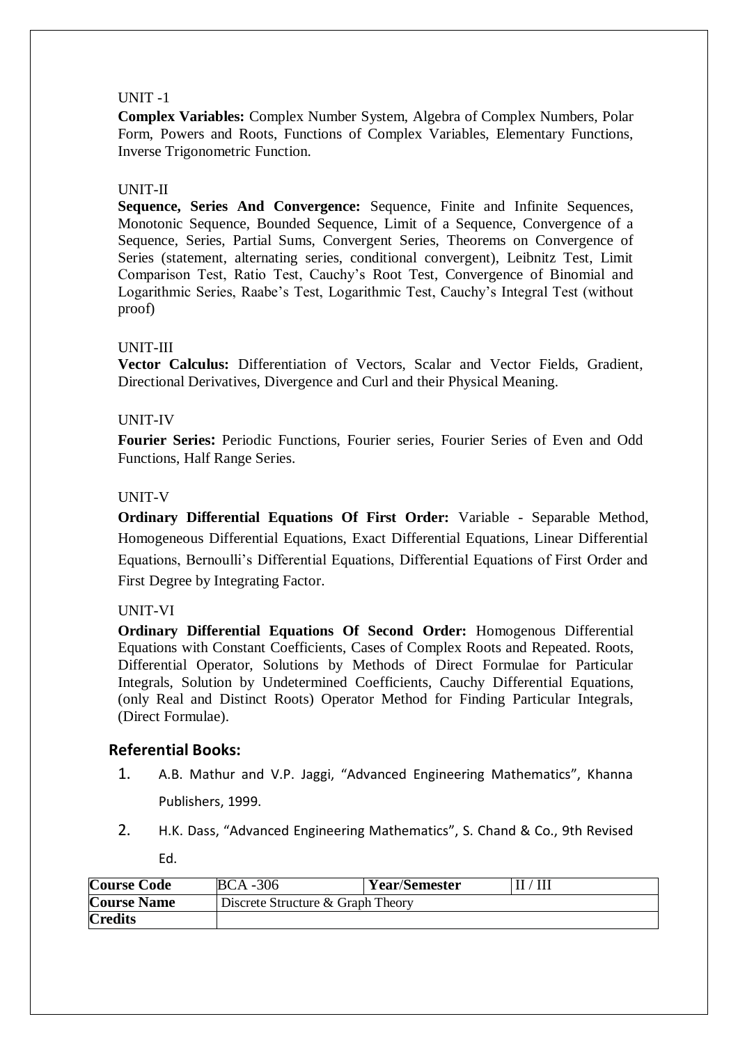### UNIT -1

**Complex Variables:** Complex Number System, Algebra of Complex Numbers, Polar Form, Powers and Roots, Functions of Complex Variables, Elementary Functions, Inverse Trigonometric Function.

# UNIT-II

**Sequence, Series And Convergence:** Sequence, Finite and Infinite Sequences, Monotonic Sequence, Bounded Sequence, Limit of a Sequence, Convergence of a Sequence, Series, Partial Sums, Convergent Series, Theorems on Convergence of Series (statement, alternating series, conditional convergent), Leibnitz Test, Limit Comparison Test, Ratio Test, Cauchy's Root Test, Convergence of Binomial and Logarithmic Series, Raabe's Test, Logarithmic Test, Cauchy's Integral Test (without proof)

# UNIT-III

**Vector Calculus:** Differentiation of Vectors, Scalar and Vector Fields, Gradient, Directional Derivatives, Divergence and Curl and their Physical Meaning.

## UNIT-IV

**Fourier Series:** Periodic Functions, Fourier series, Fourier Series of Even and Odd Functions, Half Range Series.

## UNIT-V

**Ordinary Differential Equations Of First Order:** Variable - Separable Method, Homogeneous Differential Equations, Exact Differential Equations, Linear Differential Equations, Bernoulli's Differential Equations, Differential Equations of First Order and First Degree by Integrating Factor.

### UNIT-VI

**Ordinary Differential Equations Of Second Order:** Homogenous Differential Equations with Constant Coefficients, Cases of Complex Roots and Repeated. Roots, Differential Operator, Solutions by Methods of Direct Formulae for Particular Integrals, Solution by Undetermined Coefficients, Cauchy Differential Equations, (only Real and Distinct Roots) Operator Method for Finding Particular Integrals, (Direct Formulae).

# **Referential Books:**

- 1. A.B. Mathur and V.P. Jaggi, "Advanced Engineering Mathematics", Khanna Publishers, 1999.
- 2. H.K. Dass, "Advanced Engineering Mathematics", S. Chand & Co., 9th Revised

Ed.

| <b>Course Code</b> | $BCA - 306$                       | <b>Year/Semester</b> | $\rm II/III$ |  |  |
|--------------------|-----------------------------------|----------------------|--------------|--|--|
| <b>Course Name</b> | Discrete Structure & Graph Theory |                      |              |  |  |
| <b>Credits</b>     |                                   |                      |              |  |  |